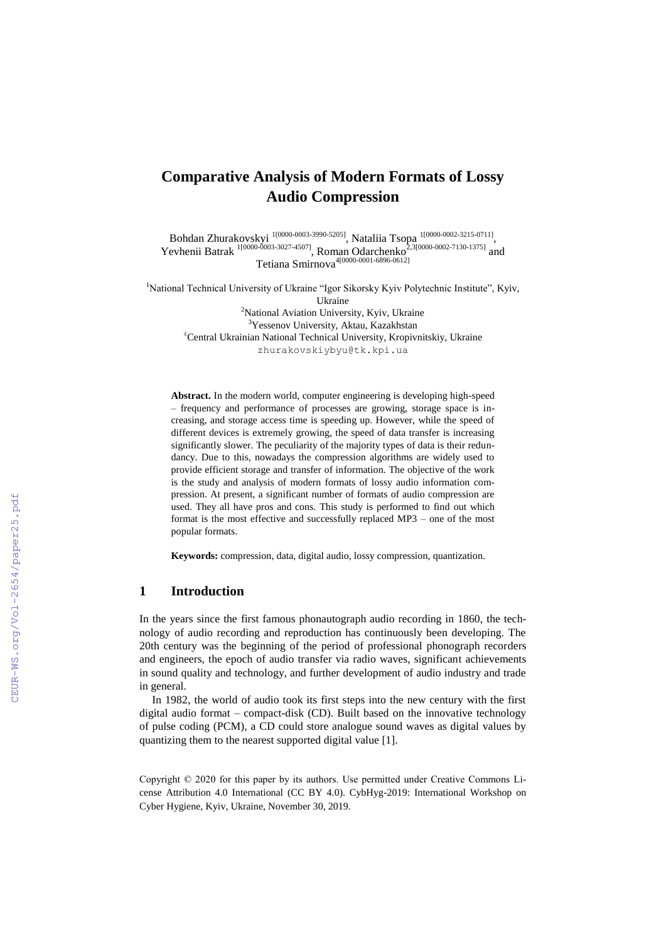# **Comparative Analysis of Modern Formats of Lossy Audio Compression**

Bohdan Zhurakovskyi <sup>[1\[0000-0003-3990-5205\]](https://orcid.org/0000-0003-3990-5205)</sup>, Nataliia Tsopa <sup>[1\[0000-0002-3215-0711\]](https://orcid.org/0000-0002-3215-0711)</sup>, Yevhenii Batrak <sup>[1\[0000-0003-3027-4507\]](https://orcid.org/0000-0003-3027-4507)</sup>, Roman Odarchenko<sup>2,3[0000-0002-7130-1375]</sup> and 7etiana Smirnova<sup>4</sup><sup>[0000-0001-6896-0612]</sup>

<sup>1</sup>National Technical University of Ukraine "Igor Sikorsky Kyiv Polytechnic Institute", Kyiv, Ukraine <sup>2</sup>National Aviation University, Kyiv, Ukraine <sup>3</sup>Yessenov University, Aktau, Kazakhstan <sup>4</sup>Central Ukrainian National Technical University, Kropivnitskiy, Ukraine

[zhurakovskiybyu@tk.kpi.ua](mailto:zhurakovskiybyu@tk.kpi.ua)

**Abstract.** In the modern world, computer engineering is developing high-speed – frequency and performance of processes are growing, storage space is increasing, and storage access time is speeding up. However, while the speed of different devices is extremely growing, the speed of data transfer is increasing significantly slower. The peculiarity of the majority types of data is their redundancy. Due to this, nowadays the compression algorithms are widely used to provide efficient storage and transfer of information. The objective of the work is the study and analysis of modern formats of lossy audio information compression. At present, a significant number of formats of audio compression are used. They all have pros and cons. This study is performed to find out which format is the most effective and successfully replaced MP3 – one of the most popular formats.

**Keywords:** compression, data, digital audio, lossy compression, quantization.

# **1 Introduction**

In the years since the first famous phonautograph audio recording in 1860, the technology of audio recording and reproduction has continuously been developing. The 20th century was the beginning of the period of professional phonograph recorders and engineers, the epoch of audio transfer via radio waves, significant achievements in sound quality and technology, and further development of audio industry and trade in general.

In 1982, the world of audio took its first steps into the new century with the first digital audio format – compact-disk (CD). Built based on the innovative technology of pulse coding (PCM), a CD could store analogue sound waves as digital values by quantizing them to the nearest supported digital value [1].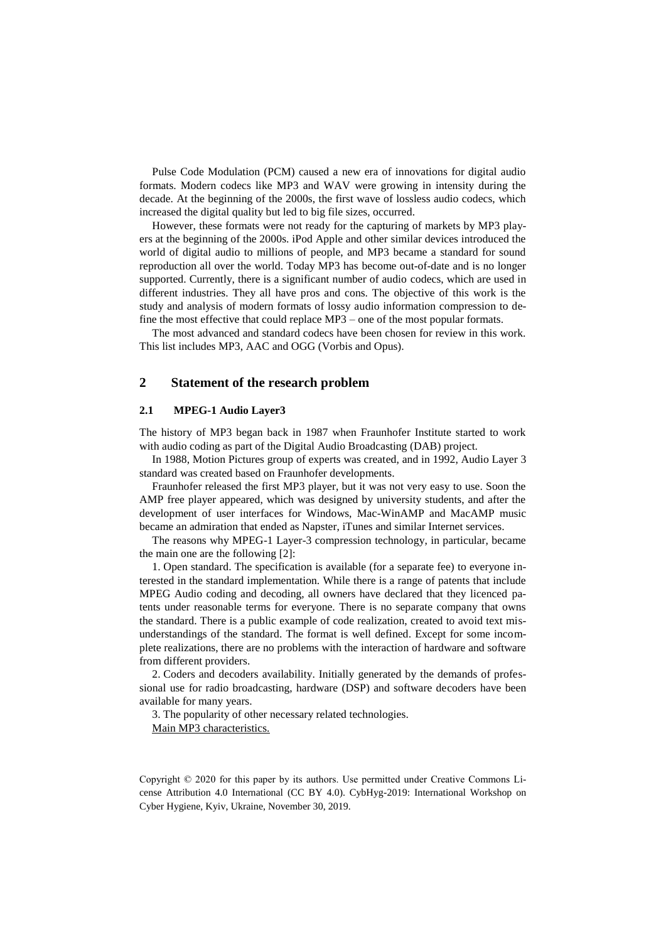Pulse Code Modulation (PCM) caused a new era of innovations for digital audio formats. Modern codecs like MP3 and WAV were growing in intensity during the decade. At the beginning of the 2000s, the first wave of lossless audio codecs, which increased the digital quality but led to big file sizes, occurred.

However, these formats were not ready for the capturing of markets by MP3 players at the beginning of the 2000s. iPod Apple and other similar devices introduced the world of digital audio to millions of people, and MP3 became a standard for sound reproduction all over the world. Today MP3 has become out-of-date and is no longer supported. Currently, there is a significant number of audio codecs, which are used in different industries. They all have pros and cons. The objective of this work is the study and analysis of modern formats of lossy audio information compression to define the most effective that could replace MP3 – one of the most popular formats.

The most advanced and standard codecs have been chosen for review in this work. This list includes MP3, AAC and OGG (Vorbis and Opus).

# **2 Statement of the research problem**

#### **2.1 MPEG-1 Audio Layer3**

The history of MP3 began back in 1987 when Fraunhofer Institute started to work with audio coding as part of the Digital Audio Broadcasting (DAB) project.

In 1988, Motion Pictures group of experts was created, and in 1992, Audio Layer 3 standard was created based on Fraunhofer developments.

Fraunhofer released the first MP3 player, but it was not very easy to use. Soon the AMP free player appeared, which was designed by university students, and after the development of user interfaces for Windows, Mac-WinAMP and MacAMP music became an admiration that ended as Napster, iTunes and similar Internet services.

The reasons why MPEG-1 Layer-3 compression technology, in particular, became the main one are the following [2]:

1. Open standard. The specification is available (for a separate fee) to everyone interested in the standard implementation. While there is a range of patents that include MPEG Audio coding and decoding, all owners have declared that they licenced patents under reasonable terms for everyone. There is no separate company that owns the standard. There is a public example of code realization, created to avoid text misunderstandings of the standard. The format is well defined. Except for some incomplete realizations, there are no problems with the interaction of hardware and software from different providers.

2. Coders and decoders availability. Initially generated by the demands of professional use for radio broadcasting, hardware (DSP) and software decoders have been available for many years.

3. The popularity of other necessary related technologies. Main MP3 characteristics.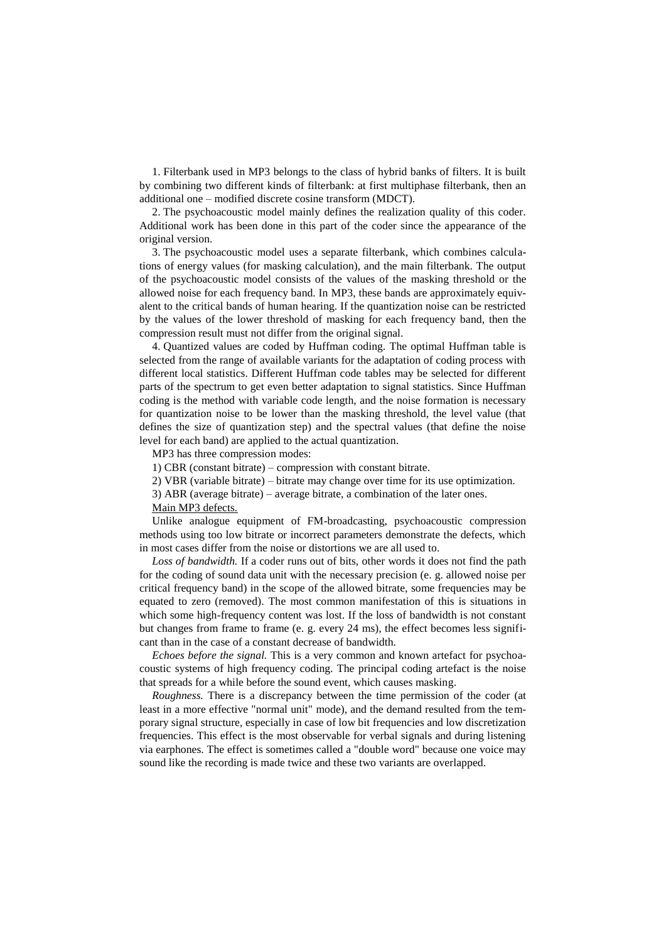1. Filterbank used in MP3 belongs to the class of hybrid banks of filters. It is built by combining two different kinds of filterbank: at first multiphase filterbank, then an additional one – modified discrete cosine transform (MDCT).

2. The psychoacoustic model mainly defines the realization quality of this coder. Additional work has been done in this part of the coder since the appearance of the original version.

3. The psychoacoustic model uses a separate filterbank, which combines calculations of energy values (for masking calculation), and the main filterbank. The output of the psychoacoustic model consists of the values of the masking threshold or the allowed noise for each frequency band. In MP3, these bands are approximately equivalent to the critical bands of human hearing. If the quantization noise can be restricted by the values of the lower threshold of masking for each frequency band, then the compression result must not differ from the original signal.

4. Quantized values are coded by Huffman coding. The optimal Huffman table is selected from the range of available variants for the adaptation of coding process with different local statistics. Different Huffman code tables may be selected for different parts of the spectrum to get even better adaptation to signal statistics. Since Huffman coding is the method with variable code length, and the noise formation is necessary for quantization noise to be lower than the masking threshold, the level value (that defines the size of quantization step) and the spectral values (that define the noise level for each band) are applied to the actual quantization.

MP3 has three compression modes:

1) CBR (constant bitrate) – compression with constant bitrate.

2) VBR (variable bitrate) – bitrate may change over time for its use optimization.

3) ABR (average bitrate) – average bitrate, a combination of the later ones.

Main MP3 defects.

Unlike analogue equipment of FM-broadcasting, psychoacoustic compression methods using too low bitrate or incorrect parameters demonstrate the defects, which in most cases differ from the noise or distortions we are all used to.

*Loss of bandwidth.* If a coder runs out of bits, other words it does not find the path for the coding of sound data unit with the necessary precision (e. g. allowed noise per critical frequency band) in the scope of the allowed bitrate, some frequencies may be equated to zero (removed). The most common manifestation of this is situations in which some high-frequency content was lost. If the loss of bandwidth is not constant but changes from frame to frame (e. g. every 24 ms), the effect becomes less significant than in the case of a constant decrease of bandwidth.

*Echoes before the signal.* This is a very common and known artefact for psychoacoustic systems of high frequency coding. The principal coding artefact is the noise that spreads for a while before the sound event, which causes masking.

*Roughness.* There is a discrepancy between the time permission of the coder (at least in a more effective "normal unit" mode), and the demand resulted from the temporary signal structure, especially in case of low bit frequencies and low discretization frequencies. This effect is the most observable for verbal signals and during listening via earphones. The effect is sometimes called a "double word" because one voice may sound like the recording is made twice and these two variants are overlapped.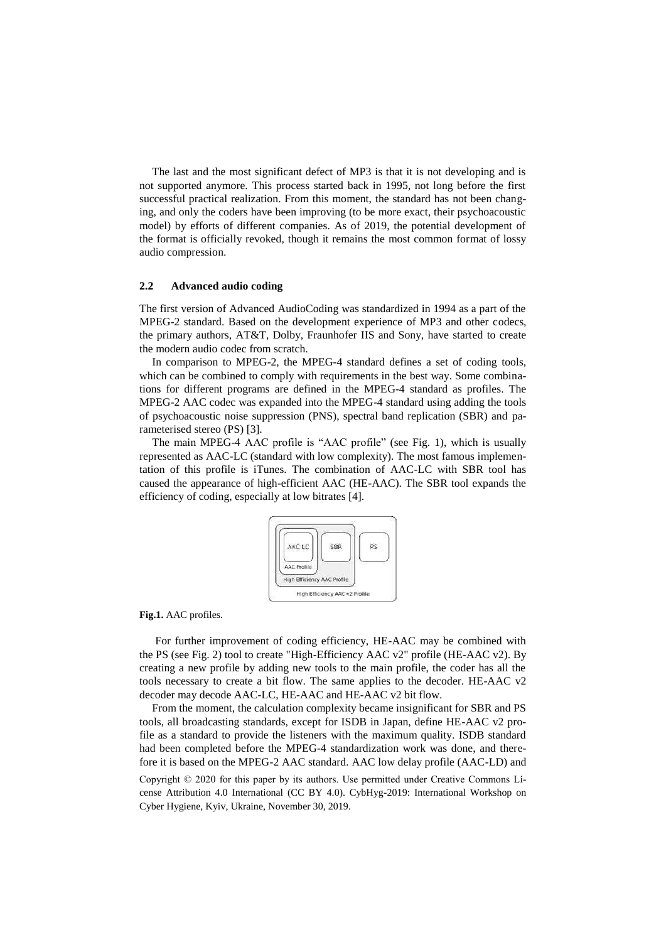The last and the most significant defect of MP3 is that it is not developing and is not supported anymore. This process started back in 1995, not long before the first successful practical realization. From this moment, the standard has not been changing, and only the coders have been improving (to be more exact, their psychoacoustic model) by efforts of different companies. As of 2019, the potential development of the format is officially revoked, though it remains the most common format of lossy audio compression.

# **2.2 Advanced audio coding**

The first version of Advanced AudioCoding was standardized in 1994 as a part of the MPEG-2 standard. Based on the development experience of MP3 and other codecs, the primary authors, AT&T, Dolby, Fraunhofer IIS and Sony, have started to create the modern audio codec from scratch.

In comparison to MPEG-2, the MPEG-4 standard defines a set of coding tools, which can be combined to comply with requirements in the best way. Some combinations for different programs are defined in the MPEG-4 standard as profiles. The MPEG-2 AAC codec was expanded into the MPEG-4 standard using adding the tools of psychoacoustic noise suppression (PNS), spectral band replication (SBR) and parameterised stereo (PS) [3].

The main MPEG-4 AAC profile is "AAC profile" (see Fig. 1), which is usually represented as AAC-LC (standard with low complexity). The most famous implementation of this profile is iTunes. The combination of AAC-LC with SBR tool has caused the appearance of high-efficient AAC (HE-AAC). The SBR tool expands the efficiency of coding, especially at low bitrates [4].



#### **Fig.1.** AAC profiles.

For further improvement of coding efficiency, HE-AAC may be combined with the PS (see Fig. 2) tool to create "High-Efficiency AAC v2" profile (HE-AAC v2). By creating a new profile by adding new tools to the main profile, the coder has all the tools necessary to create a bit flow. The same applies to the decoder. HE-AAC v2 decoder may decode AAC-LC, HE-AAC and HE-AAC v2 bit flow.

Copyright © 2020 for this paper by its authors. Use permitted under Creative Commons License Attribution 4.0 International (CC BY 4.0). CybHyg-2019: International Workshop on From the moment, the calculation complexity became insignificant for SBR and PS tools, all broadcasting standards, except for ISDB in Japan, define HE-AAC v2 profile as a standard to provide the listeners with the maximum quality. ISDB standard had been completed before the MPEG-4 standardization work was done, and therefore it is based on the MPEG-2 AAC standard. AAC low delay profile (AAC-LD) and

Cyber Hygiene, Kyiv, Ukraine, November 30, 2019.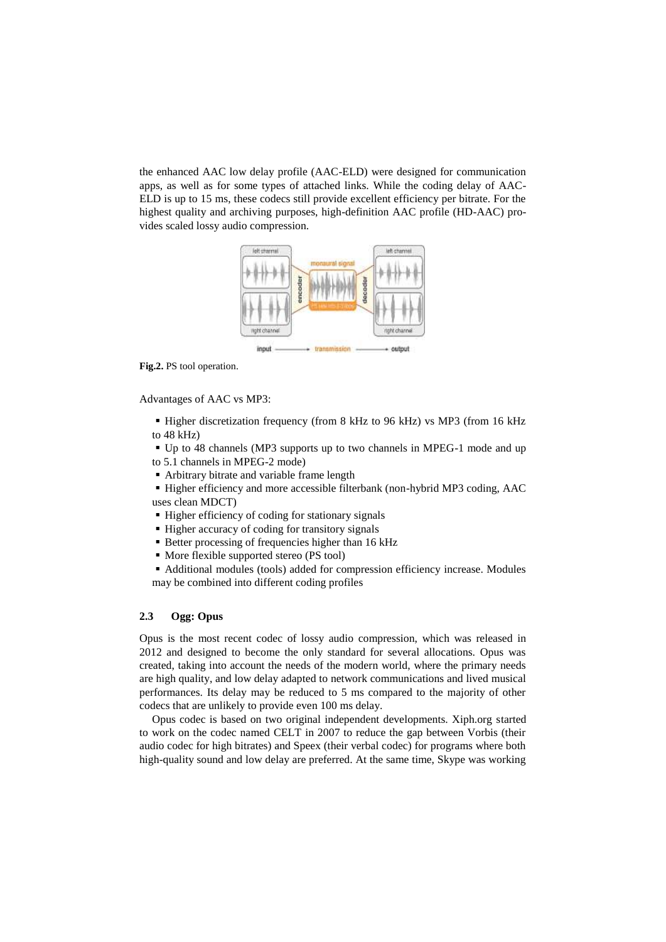the enhanced AAC low delay profile (AAC-ELD) were designed for communication apps, as well as for some types of attached links. While the coding delay of AAC-ELD is up to 15 ms, these codecs still provide excellent efficiency per bitrate. For the highest quality and archiving purposes, high-definition AAC profile (HD-AAC) provides scaled lossy audio compression.



**Fig.2.** PS tool operation.

Advantages of AAC vs MP3:

Higher discretization frequency (from 8 kHz to 96 kHz) vs MP3 (from 16 kHz to 48 kHz)

 Up to 48 channels (MP3 supports up to two channels in MPEG-1 mode and up to 5.1 channels in MPEG-2 mode)

Arbitrary bitrate and variable frame length

 Higher efficiency and more accessible filterbank (non-hybrid MP3 coding, AAC uses clean MDCT)

- Higher efficiency of coding for stationary signals
- Higher accuracy of coding for transitory signals
- Better processing of frequencies higher than 16 kHz
- More flexible supported stereo (PS tool)

 Additional modules (tools) added for compression efficiency increase. Modules may be combined into different coding profiles

### **2.3 Ogg: Opus**

Opus is the most recent codec of lossy audio compression, which was released in 2012 and designed to become the only standard for several allocations. Opus was created, taking into account the needs of the modern world, where the primary needs are high quality, and low delay adapted to network communications and lived musical performances. Its delay may be reduced to 5 ms compared to the majority of other codecs that are unlikely to provide even 100 ms delay.

Opus codec is based on two original independent developments. Xiph.org started to work on the codec named CELT in 2007 to reduce the gap between Vorbis (their audio codec for high bitrates) and Speex (their verbal codec) for programs where both high-quality sound and low delay are preferred. At the same time, Skype was working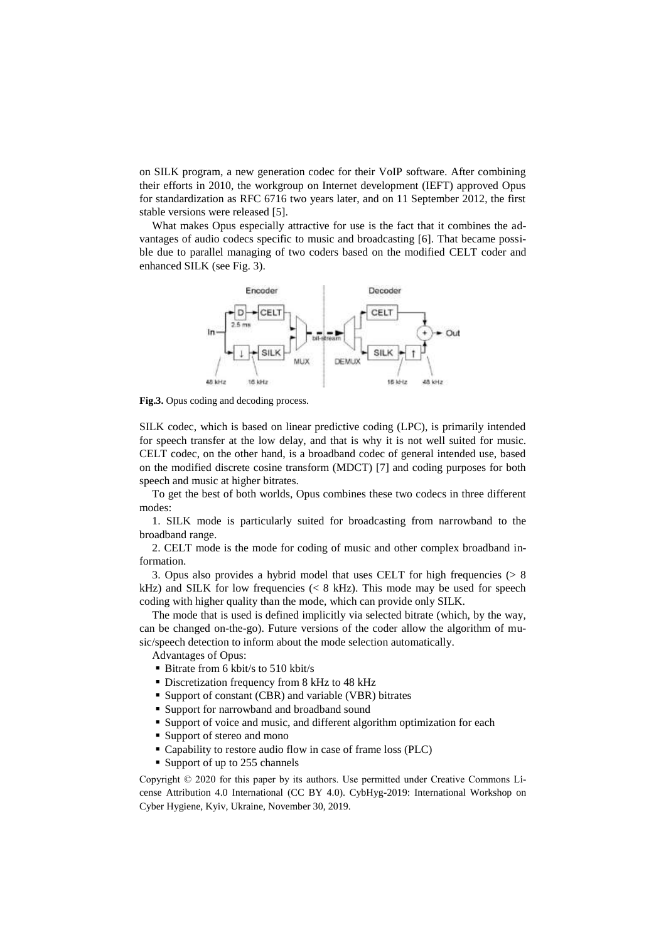on SILK program, a new generation codec for their VoIP software. After combining their efforts in 2010, the workgroup on Internet development (IEFT) approved Opus for standardization as RFC 6716 two years later, and on 11 September 2012, the first stable versions were released [5].

What makes Opus especially attractive for use is the fact that it combines the advantages of audio codecs specific to music and broadcasting [6]. That became possible due to parallel managing of two coders based on the modified CELT coder and enhanced SILK (see Fig. 3).



**Fig.3.** Opus coding and decoding process.

SILK codec, which is based on linear predictive coding (LPC), is primarily intended for speech transfer at the low delay, and that is why it is not well suited for music. CELT codec, on the other hand, is a broadband codec of general intended use, based on the modified discrete cosine transform (MDCT) [7] and coding purposes for both speech and music at higher bitrates.

To get the best of both worlds, Opus combines these two codecs in three different modes:

1. SILK mode is particularly suited for broadcasting from narrowband to the broadband range.

2. CELT mode is the mode for coding of music and other complex broadband information.

3. Opus also provides a hybrid model that uses CELT for high frequencies  $(> 8$ kHz) and SILK for low frequencies  $\langle \langle 8 \text{ kHz} \rangle$ . This mode may be used for speech coding with higher quality than the mode, which can provide only SILK.

The mode that is used is defined implicitly via selected bitrate (which, by the way, can be changed on-the-go). Future versions of the coder allow the algorithm of music/speech detection to inform about the mode selection automatically.

Advantages of Opus:

- Bitrate from 6 kbit/s to 510 kbit/s
- Discretization frequency from 8 kHz to 48 kHz
- Support of constant (CBR) and variable (VBR) bitrates
- Support for narrowband and broadband sound
- Support of voice and music, and different algorithm optimization for each
- Support of stereo and mono
- Capability to restore audio flow in case of frame loss (PLC)
- Support of up to 255 channels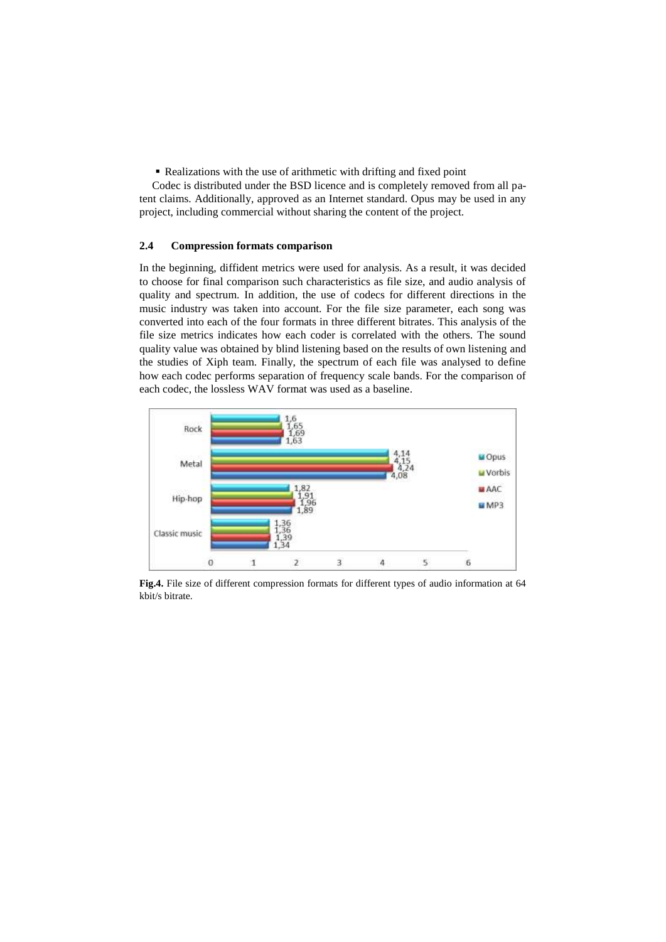Realizations with the use of arithmetic with drifting and fixed point

Codec is distributed under the BSD licence and is completely removed from all patent claims. Additionally, approved as an Internet standard. Opus may be used in any project, including commercial without sharing the content of the project.

## **2.4 Compression formats comparison**

In the beginning, diffident metrics were used for analysis. As a result, it was decided to choose for final comparison such characteristics as file size, and audio analysis of quality and spectrum. In addition, the use of codecs for different directions in the music industry was taken into account. For the file size parameter, each song was converted into each of the four formats in three different bitrates. This analysis of the file size metrics indicates how each coder is correlated with the others. The sound quality value was obtained by blind listening based on the results of own listening and the studies of Xiph team. Finally, the spectrum of each file was analysed to define how each codec performs separation of frequency scale bands. For the comparison of each codec, the lossless WAV format was used as a baseline.



**Fig.4.** File size of different compression formats for different types of audio information at 64 kbit/s bitrate.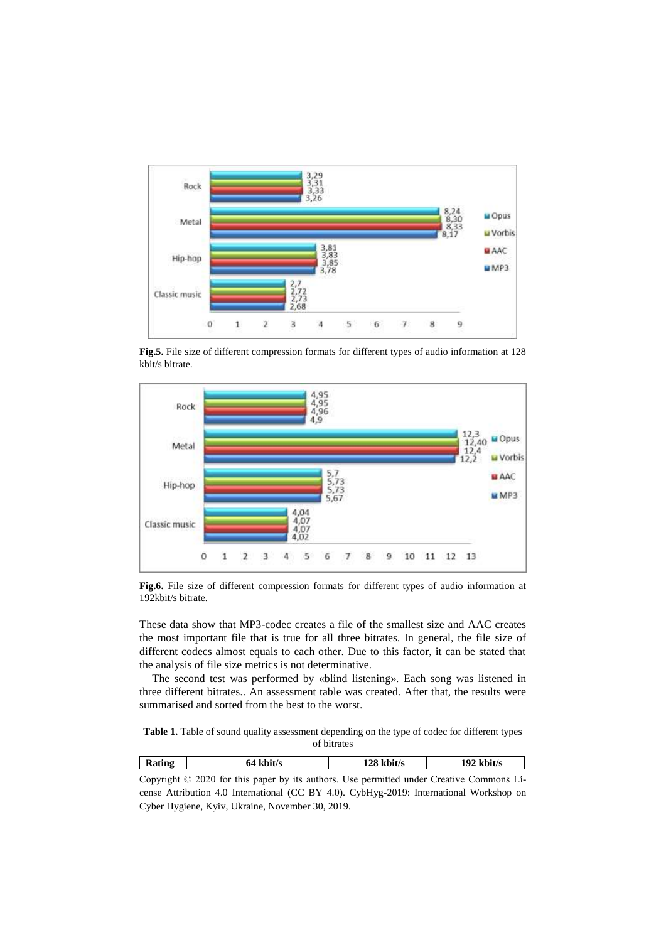

**Fig.5.** File size of different compression formats for different types of audio information at 128 kbit/s bitrate.



**Fig.6.** File size of different compression formats for different types of audio information at 192kbit/s bitrate.

These data show that MP3-codec creates a file of the smallest size and AAC creates the most important file that is true for all three bitrates. In general, the file size of different codecs almost equals to each other. Due to this factor, it can be stated that the analysis of file size metrics is not determinative.

The second test was performed by «blind listening». Each song was listened in three different bitrates.. An assessment table was created. After that, the results were summarised and sorted from the best to the worst.

**Table 1.** Table of sound quality assessment depending on the type of codec for different types of bitrates

| <b>Rating</b> | 64 kbit/s                                                                                      | $128$ kbit/s | $192$ kbit/s |
|---------------|------------------------------------------------------------------------------------------------|--------------|--------------|
|               | Copyright $\odot$ 2020 for this paper by its authors. Use permitted under Creative Commons Li- |              |              |

cense Attribution 4.0 International (CC BY 4.0). CybHyg-2019: International Workshop on Cyber Hygiene, Kyiv, Ukraine, November 30, 2019.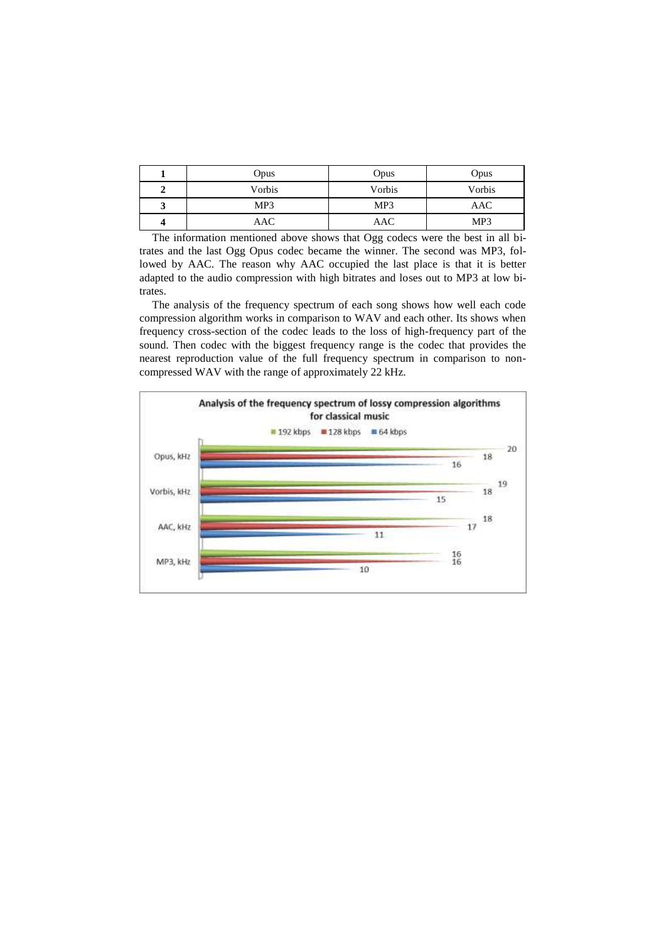|   | <b>Opus</b> | Opus   | Opus   |
|---|-------------|--------|--------|
| ↵ | Vorbis      | Vorbis | Vorbis |
| ມ | MP3         | MP3    | AAC    |
|   | AAC         | AAC    | MP3    |

The information mentioned above shows that Ogg codecs were the best in all bitrates and the last Ogg Opus codec became the winner. The second was MP3, followed by AAC. The reason why AAC occupied the last place is that it is better adapted to the audio compression with high bitrates and loses out to MP3 at low bitrates.

The analysis of the frequency spectrum of each song shows how well each code compression algorithm works in comparison to WAV and each other. Its shows when frequency cross-section of the codec leads to the loss of high-frequency part of the sound. Then codec with the biggest frequency range is the codec that provides the nearest reproduction value of the full frequency spectrum in comparison to noncompressed WAV with the range of approximately 22 kHz.

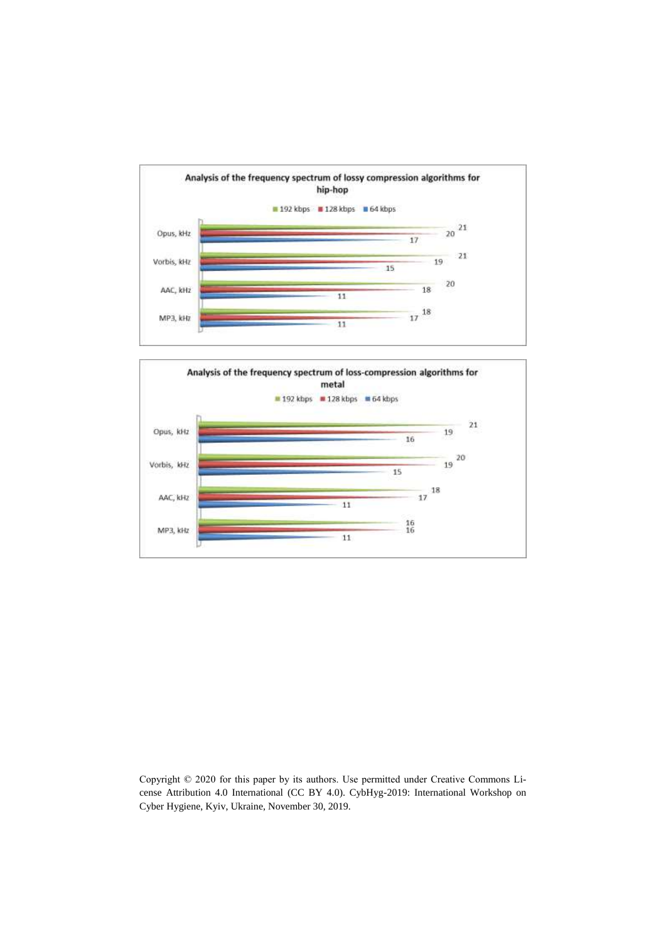

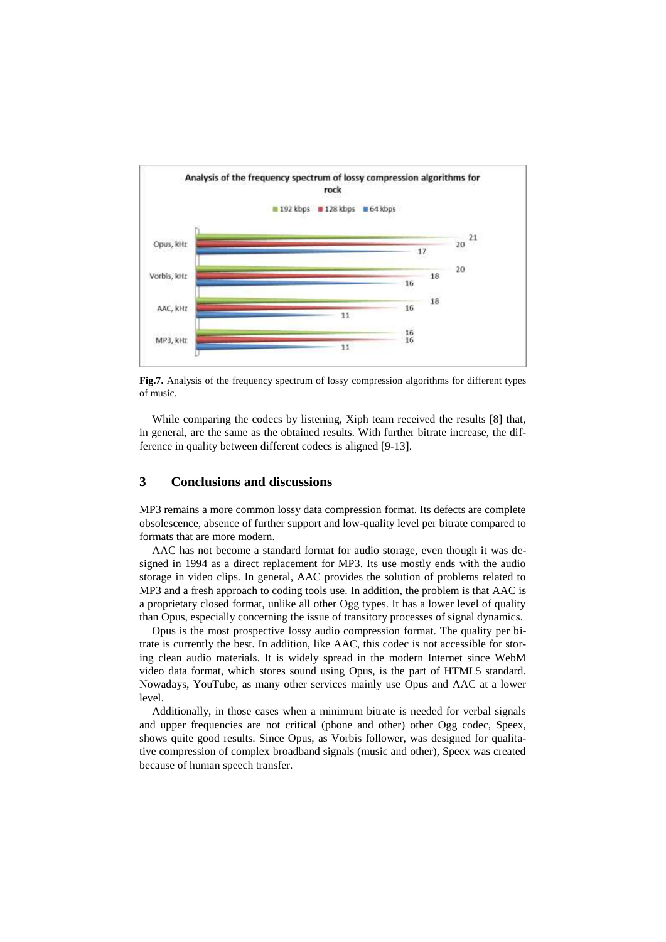

**Fig.7.** Analysis of the frequency spectrum of lossy compression algorithms for different types of music.

While comparing the codecs by listening, Xiph team received the results [8] that, in general, are the same as the obtained results. With further bitrate increase, the difference in quality between different codecs is aligned [9-13].

# **3 Conclusions and discussions**

MP3 remains a more common lossy data compression format. Its defects are complete obsolescence, absence of further support and low-quality level per bitrate compared to formats that are more modern.

AAC has not become a standard format for audio storage, even though it was designed in 1994 as a direct replacement for MP3. Its use mostly ends with the audio storage in video clips. In general, AAC provides the solution of problems related to MP3 and a fresh approach to coding tools use. In addition, the problem is that AAC is a proprietary closed format, unlike all other Ogg types. It has a lower level of quality than Opus, especially concerning the issue of transitory processes of signal dynamics.

Opus is the most prospective lossy audio compression format. The quality per bitrate is currently the best. In addition, like AAC, this codec is not accessible for storing clean audio materials. It is widely spread in the modern Internet since WebM video data format, which stores sound using Opus, is the part of HTML5 standard. Nowadays, YouTube, as many other services mainly use Opus and AAC at a lower level.

Additionally, in those cases when a minimum bitrate is needed for verbal signals and upper frequencies are not critical (phone and other) other Ogg codec, Speex, shows quite good results. Since Opus, as Vorbis follower, was designed for qualitative compression of complex broadband signals (music and other), Speex was created because of human speech transfer.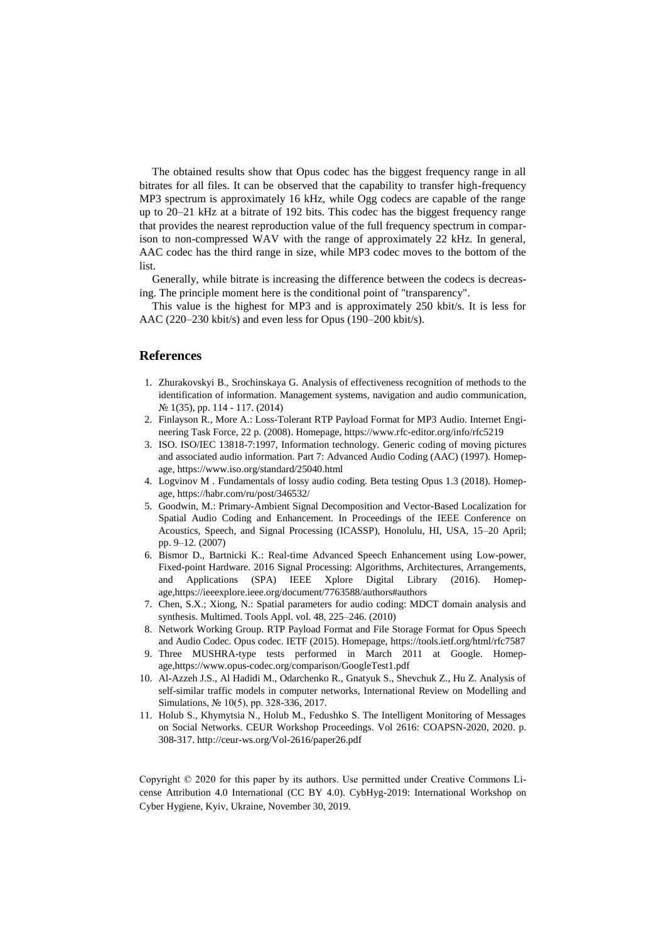The obtained results show that Opus codec has the biggest frequency range in all bitrates for all files. It can be observed that the capability to transfer high-frequency MP3 spectrum is approximately 16 kHz, while Ogg codecs are capable of the range up to 20–21 kHz at a bitrate of 192 bits. This codec has the biggest frequency range that provides the nearest reproduction value of the full frequency spectrum in comparison to non-compressed WAV with the range of approximately 22 kHz. In general, AAC codec has the third range in size, while MP3 codec moves to the bottom of the list.

Generally, while bitrate is increasing the difference between the codecs is decreasing. The principle moment here is the conditional point of "transparency".

This value is the highest for MP3 and is approximately 250 kbit/s. It is less for AAC (220–230 kbit/s) and even less for Opus (190–200 kbit/s).

# **References**

- 1. Zhurakovskyi B., Srochinskaya G. Analysis of effectiveness recognition of methods to the identification of information. Management systems, navigation and audio communication, № 1(35), pp. 114 - 117. (2014)
- 2. Finlayson R., More A.: Loss-Tolerant RTP Payload Format for MP3 Audio. Internet Engineering Task Force, 22 p. (2008). Homepage, https://www.rfc-editor.org/info/rfc5219
- 3. ISO. ISO/IEC 13818-7:1997, Information technology. Generic coding of moving pictures and associated audio information. Part 7: Advanced Audio Coding (AAC) (1997). Homepage, https://www.iso.org/standard/25040.html
- 4. Logvinov M . Fundamentals of lossy audio coding. Beta testing Opus 1.3 (2018). Homepage[, https://habr.com/ru/post/346532/](https://habr.com/ru/post/346532/)
- 5. Goodwin, M.: Primary-Ambient Signal Decomposition and Vector-Based Localization for Spatial Audio Coding and Enhancement. In Proceedings of the IEEE Conference on Acoustics, Speech, and Signal Processing (ICASSP), Honolulu, HI, USA, 15–20 April; pp. 9–12. (2007)
- 6. Bismor D., Bartnicki K.: Real-time Advanced Speech Enhancement using Low-power, Fixed-point Hardware. 2016 Signal Processing: Algorithms, Architectures, Arrangements, and Applications (SPA) IEEE Xplore Digital Library (2016). Homepage,https://ieeexplore.ieee.org/document/7763588/authors#authors
- 7. Chen, S.X.; Xiong, N.: Spatial parameters for audio coding: MDCT domain analysis and synthesis. Multimed. Tools Appl. vol. 48, 225–246. (2010)
- 8. Network Working Group. RTP Payload Format and File Storage Format for Opus Speech and Audio Codec. Opus codec. IETF (2015). Homepage, https://tools.ietf.org/html/rfc7587
- 9. Three MUSHRA-type tests performed in March 2011 at Google. Homepage,https://www.opus-codec.org/comparison/GoogleTest1.pdf
- 10. Al-Azzeh J.S., Al Hadidi M., Odarchenko R., Gnatyuk S., Shevchuk Z., Hu Z. Analysis of self-similar traffic models in computer networks, International Review on Modelling and Simulations, № 10(5), pp. 328-336, 2017.
- 11. Holub S., Khymytsia N., Holub M., Fedushko S. The Intelligent Monitoring of Messages on Social Networks. CEUR Workshop Proceedings. Vol 2616: COAPSN-2020, 2020. p. 308-317[. http://ceur-ws.org/Vol-2616/paper26.pdf](http://ceur-ws.org/Vol-2616/paper26.pdf)